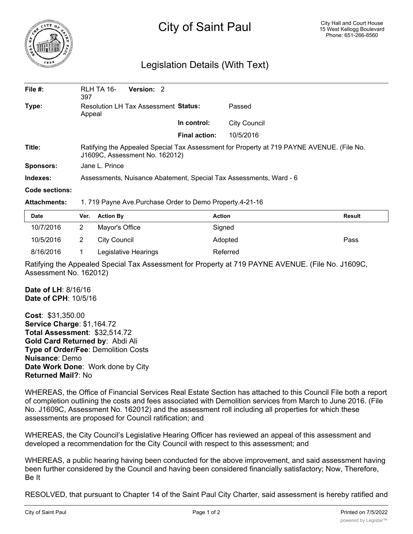

## City of Saint Paul

## Legislation Details (With Text)

| File $#$ :       | RLH TA 16-<br>397                                                                                                           | Version: 2 |                      |                     |  |  |
|------------------|-----------------------------------------------------------------------------------------------------------------------------|------------|----------------------|---------------------|--|--|
| Type:            | Resolution LH Tax Assessment Status:<br>Appeal                                                                              |            |                      | Passed              |  |  |
|                  |                                                                                                                             |            | In control:          | <b>City Council</b> |  |  |
|                  |                                                                                                                             |            | <b>Final action:</b> | 10/5/2016           |  |  |
| Title:           | Ratifying the Appealed Special Tax Assessment for Property at 719 PAYNE AVENUE. (File No.<br>J1609C, Assessment No. 162012) |            |                      |                     |  |  |
| <b>Sponsors:</b> | Jane L. Prince                                                                                                              |            |                      |                     |  |  |
| Indexes:         | Assessments, Nuisance Abatement, Special Tax Assessments, Ward - 6                                                          |            |                      |                     |  |  |
| Code sections:   |                                                                                                                             |            |                      |                     |  |  |
|                  |                                                                                                                             |            |                      |                     |  |  |

## **Attachments:** 1. 719 Payne Ave.Purchase Order to Demo Property.4-21-16

| <b>Date</b> | Ver. Action By       | <b>Action</b> | Result |
|-------------|----------------------|---------------|--------|
| 10/7/2016   | Mayor's Office       | Signed        |        |
| 10/5/2016   | City Council         | Adopted       | Pass   |
| 8/16/2016   | Legislative Hearings | Referred      |        |

Ratifying the Appealed Special Tax Assessment for Property at 719 PAYNE AVENUE. (File No. J1609C, Assessment No. 162012)

**Date of LH**: 8/16/16 **Date of CPH**: 10/5/16

**Cost**: \$31,350.00 **Service Charge**: \$1,164.72 **Total Assessment**: \$32,514.72 **Gold Card Returned by**: Abdi Ali **Type of Order/Fee**: Demolition Costs **Nuisance**: Demo **Date Work Done**: Work done by City **Returned Mail?**: No

WHEREAS, the Office of Financial Services Real Estate Section has attached to this Council File both a report of completion outlining the costs and fees associated with Demolition services from March to June 2016. (File No. J1609C, Assessment No. 162012) and the assessment roll including all properties for which these assessments are proposed for Council ratification; and

WHEREAS, the City Council's Legislative Hearing Officer has reviewed an appeal of this assessment and developed a recommendation for the City Council with respect to this assessment; and

WHEREAS, a public hearing having been conducted for the above improvement, and said assessment having been further considered by the Council and having been considered financially satisfactory; Now, Therefore, Be It

RESOLVED, that pursuant to Chapter 14 of the Saint Paul City Charter, said assessment is hereby ratified and